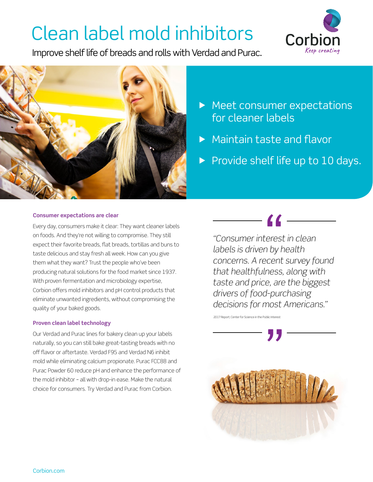# Clean label mold inhibitors

Improve shelf life of breads and rolls with Verdad and Purac.





- **Meet consumer expectations** for cleaner labels
- ▶ Maintain taste and flavor
- $\triangleright$  Provide shelf life up to 10 days.

### **Consumer expectations are clear**

Every day, consumers make it clear: They want cleaner labels on foods. And they're not willing to compromise. They still expect their favorite breads, flat breads, tortillas and buns to taste delicious and stay fresh all week. How can you give them what they want? Trust the people who've been producing natural solutions for the food market since 1937. With proven fermentation and microbiology expertise, Corbion offers mold inhibitors and pH control products that eliminate unwanted ingredients, without compromising the quality of your baked goods.

#### **Proven clean label technology**

Our Verdad and Purac lines for bakery clean up your labels naturally, so you can still bake great-tasting breads with no off flavor or aftertaste. Verdad F95 and Verdad N6 inhibit mold while eliminating calcium propionate. Purac FCC88 and Purac Powder 60 reduce pH and enhance the performance of the mold inhibitor – all with drop-in ease. Make the natural choice for consumers. Try Verdad and Purac from Corbion.

*"Consumer interest in clean* 

*labels is driven by health concerns. A recent survey found that healthfulness, along with taste and price, are the biggest drivers of food-purchasing decisions for most Americans."*

2017 Report; Center for Science in the Public Interest